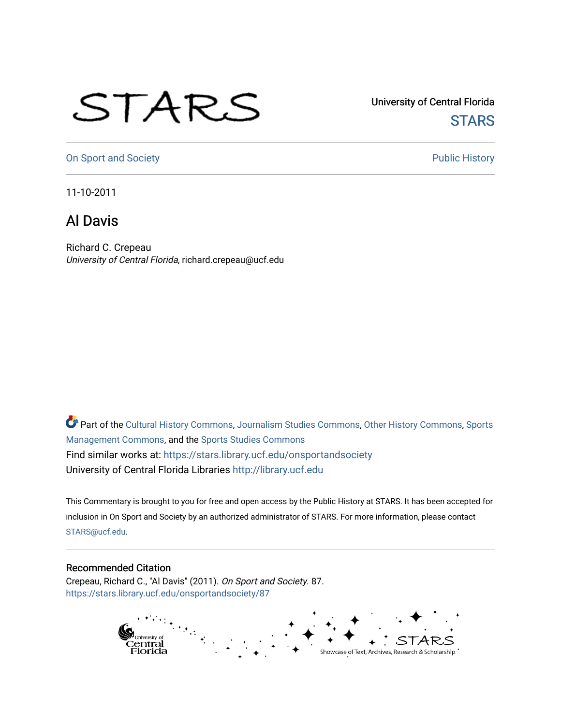## STARS

University of Central Florida **STARS** 

[On Sport and Society](https://stars.library.ucf.edu/onsportandsociety) **Public History** Public History

11-10-2011

## Al Davis

Richard C. Crepeau University of Central Florida, richard.crepeau@ucf.edu

Part of the [Cultural History Commons](http://network.bepress.com/hgg/discipline/496?utm_source=stars.library.ucf.edu%2Fonsportandsociety%2F87&utm_medium=PDF&utm_campaign=PDFCoverPages), [Journalism Studies Commons,](http://network.bepress.com/hgg/discipline/333?utm_source=stars.library.ucf.edu%2Fonsportandsociety%2F87&utm_medium=PDF&utm_campaign=PDFCoverPages) [Other History Commons,](http://network.bepress.com/hgg/discipline/508?utm_source=stars.library.ucf.edu%2Fonsportandsociety%2F87&utm_medium=PDF&utm_campaign=PDFCoverPages) [Sports](http://network.bepress.com/hgg/discipline/1193?utm_source=stars.library.ucf.edu%2Fonsportandsociety%2F87&utm_medium=PDF&utm_campaign=PDFCoverPages) [Management Commons](http://network.bepress.com/hgg/discipline/1193?utm_source=stars.library.ucf.edu%2Fonsportandsociety%2F87&utm_medium=PDF&utm_campaign=PDFCoverPages), and the [Sports Studies Commons](http://network.bepress.com/hgg/discipline/1198?utm_source=stars.library.ucf.edu%2Fonsportandsociety%2F87&utm_medium=PDF&utm_campaign=PDFCoverPages) Find similar works at: <https://stars.library.ucf.edu/onsportandsociety> University of Central Florida Libraries [http://library.ucf.edu](http://library.ucf.edu/) 

This Commentary is brought to you for free and open access by the Public History at STARS. It has been accepted for inclusion in On Sport and Society by an authorized administrator of STARS. For more information, please contact [STARS@ucf.edu](mailto:STARS@ucf.edu).

## Recommended Citation

Crepeau, Richard C., "Al Davis" (2011). On Sport and Society. 87. [https://stars.library.ucf.edu/onsportandsociety/87](https://stars.library.ucf.edu/onsportandsociety/87?utm_source=stars.library.ucf.edu%2Fonsportandsociety%2F87&utm_medium=PDF&utm_campaign=PDFCoverPages) 

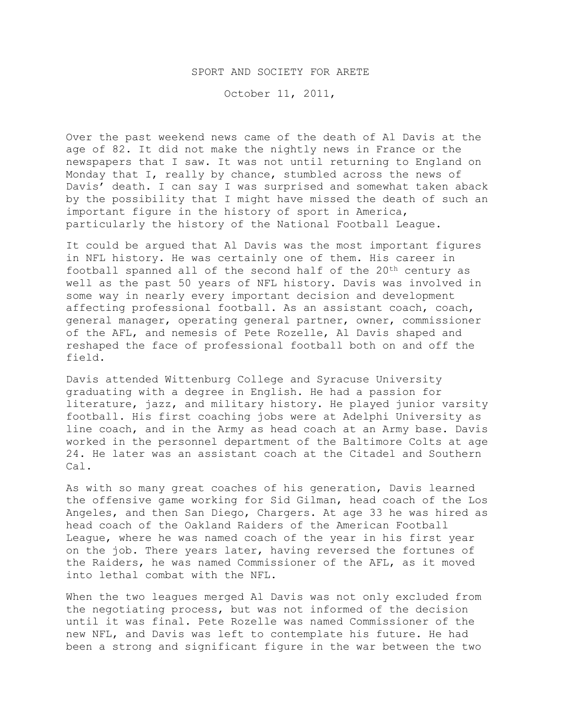## SPORT AND SOCIETY FOR ARETE

October 11, 2011,

Over the past weekend news came of the death of Al Davis at the age of 82. It did not make the nightly news in France or the newspapers that I saw. It was not until returning to England on Monday that I, really by chance, stumbled across the news of Davis' death. I can say I was surprised and somewhat taken aback by the possibility that I might have missed the death of such an important figure in the history of sport in America, particularly the history of the National Football League.

It could be argued that Al Davis was the most important figures in NFL history. He was certainly one of them. His career in football spanned all of the second half of the 20<sup>th</sup> century as well as the past 50 years of NFL history. Davis was involved in some way in nearly every important decision and development affecting professional football. As an assistant coach, coach, general manager, operating general partner, owner, commissioner of the AFL, and nemesis of Pete Rozelle, Al Davis shaped and reshaped the face of professional football both on and off the field.

Davis attended Wittenburg College and Syracuse University graduating with a degree in English. He had a passion for literature, jazz, and military history. He played junior varsity football. His first coaching jobs were at Adelphi University as line coach, and in the Army as head coach at an Army base. Davis worked in the personnel department of the Baltimore Colts at age 24. He later was an assistant coach at the Citadel and Southern Cal.

As with so many great coaches of his generation, Davis learned the offensive game working for Sid Gilman, head coach of the Los Angeles, and then San Diego, Chargers. At age 33 he was hired as head coach of the Oakland Raiders of the American Football League, where he was named coach of the year in his first year on the job. There years later, having reversed the fortunes of the Raiders, he was named Commissioner of the AFL, as it moved into lethal combat with the NFL.

When the two leagues merged Al Davis was not only excluded from the negotiating process, but was not informed of the decision until it was final. Pete Rozelle was named Commissioner of the new NFL, and Davis was left to contemplate his future. He had been a strong and significant figure in the war between the two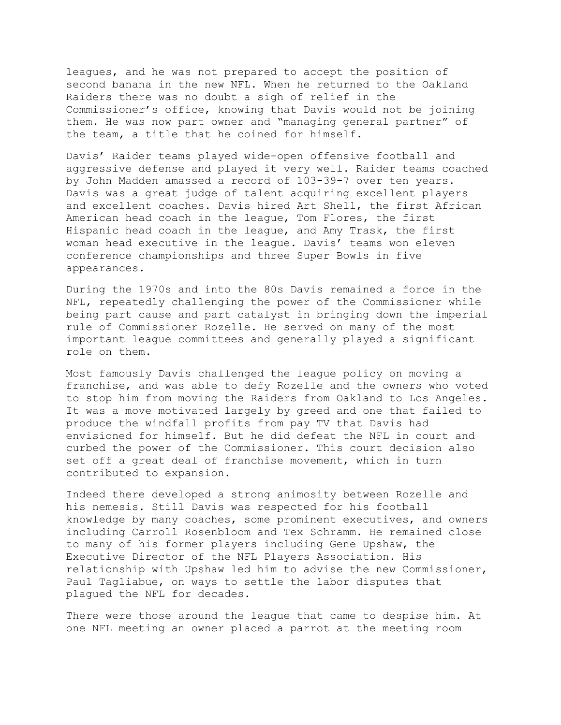leagues, and he was not prepared to accept the position of second banana in the new NFL. When he returned to the Oakland Raiders there was no doubt a sigh of relief in the Commissioner's office, knowing that Davis would not be joining them. He was now part owner and "managing general partner" of the team, a title that he coined for himself.

Davis' Raider teams played wide-open offensive football and aggressive defense and played it very well. Raider teams coached by John Madden amassed a record of 103-39-7 over ten years. Davis was a great judge of talent acquiring excellent players and excellent coaches. Davis hired Art Shell, the first African American head coach in the league, Tom Flores, the first Hispanic head coach in the league, and Amy Trask, the first woman head executive in the league. Davis' teams won eleven conference championships and three Super Bowls in five appearances.

During the 1970s and into the 80s Davis remained a force in the NFL, repeatedly challenging the power of the Commissioner while being part cause and part catalyst in bringing down the imperial rule of Commissioner Rozelle. He served on many of the most important league committees and generally played a significant role on them.

Most famously Davis challenged the league policy on moving a franchise, and was able to defy Rozelle and the owners who voted to stop him from moving the Raiders from Oakland to Los Angeles. It was a move motivated largely by greed and one that failed to produce the windfall profits from pay TV that Davis had envisioned for himself. But he did defeat the NFL in court and curbed the power of the Commissioner. This court decision also set off a great deal of franchise movement, which in turn contributed to expansion.

Indeed there developed a strong animosity between Rozelle and his nemesis. Still Davis was respected for his football knowledge by many coaches, some prominent executives, and owners including Carroll Rosenbloom and Tex Schramm. He remained close to many of his former players including Gene Upshaw, the Executive Director of the NFL Players Association. His relationship with Upshaw led him to advise the new Commissioner, Paul Tagliabue, on ways to settle the labor disputes that plagued the NFL for decades.

There were those around the league that came to despise him. At one NFL meeting an owner placed a parrot at the meeting room